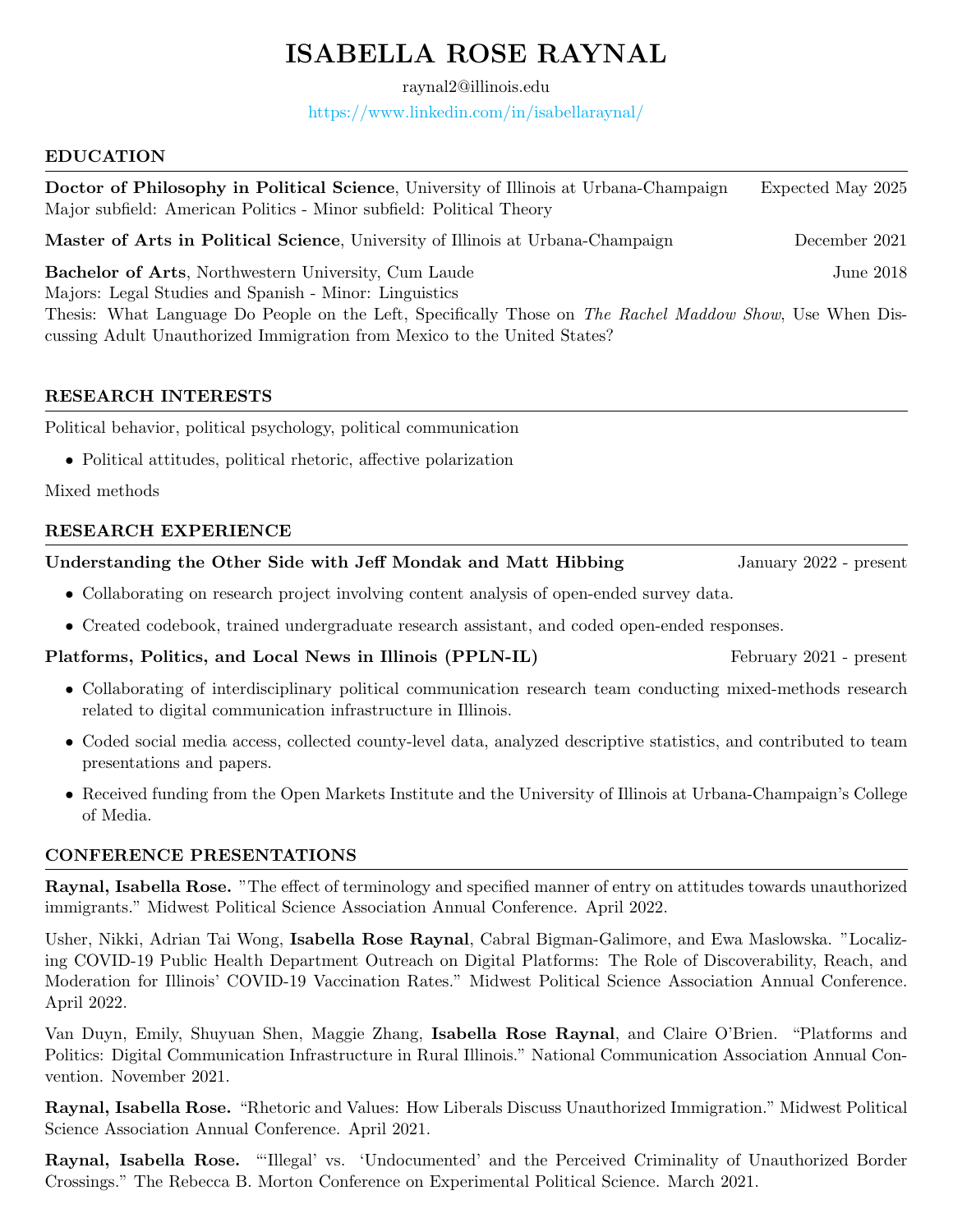# ISABELLA ROSE RAYNAL

raynal2@illinois.edu

<https://www.linkedin.com/in/isabellaraynal/>

#### EDUCATION

Doctor of Philosophy in Political Science, University of Illinois at Urbana-Champaign Expected May 2025 Major subfield: American Politics - Minor subfield: Political Theory Master of Arts in Political Science, University of Illinois at Urbana-Champaign December 2021 Bachelor of Arts, Northwestern University, Cum Laude June 2018 Majors: Legal Studies and Spanish - Minor: Linguistics Thesis: What Language Do People on the Left, Specifically Those on The Rachel Maddow Show, Use When Discussing Adult Unauthorized Immigration from Mexico to the United States?

# RESEARCH INTERESTS

Political behavior, political psychology, political communication

• Political attitudes, political rhetoric, affective polarization

Mixed methods

# RESEARCH EXPERIENCE

#### Understanding the Other Side with Jeff Mondak and Matt Hibbing January 2022 - present

- Collaborating on research project involving content analysis of open-ended survey data.
- Created codebook, trained undergraduate research assistant, and coded open-ended responses.

# Platforms, Politics, and Local News in Illinois (PPLN-IL) February 2021 - present

- Collaborating of interdisciplinary political communication research team conducting mixed-methods research related to digital communication infrastructure in Illinois.
- Coded social media access, collected county-level data, analyzed descriptive statistics, and contributed to team presentations and papers.
- Received funding from the Open Markets Institute and the University of Illinois at Urbana-Champaign's College of Media.

# CONFERENCE PRESENTATIONS

Raynal, Isabella Rose. "The effect of terminology and specified manner of entry on attitudes towards unauthorized immigrants." Midwest Political Science Association Annual Conference. April 2022.

Usher, Nikki, Adrian Tai Wong, Isabella Rose Raynal, Cabral Bigman-Galimore, and Ewa Maslowska. "Localizing COVID-19 Public Health Department Outreach on Digital Platforms: The Role of Discoverability, Reach, and Moderation for Illinois' COVID-19 Vaccination Rates." Midwest Political Science Association Annual Conference. April 2022.

Van Duyn, Emily, Shuyuan Shen, Maggie Zhang, Isabella Rose Raynal, and Claire O'Brien. "Platforms and Politics: Digital Communication Infrastructure in Rural Illinois." National Communication Association Annual Convention. November 2021.

Raynal, Isabella Rose. "Rhetoric and Values: How Liberals Discuss Unauthorized Immigration." Midwest Political Science Association Annual Conference. April 2021.

Raynal, Isabella Rose. "'Illegal' vs. 'Undocumented' and the Perceived Criminality of Unauthorized Border Crossings." The Rebecca B. Morton Conference on Experimental Political Science. March 2021.